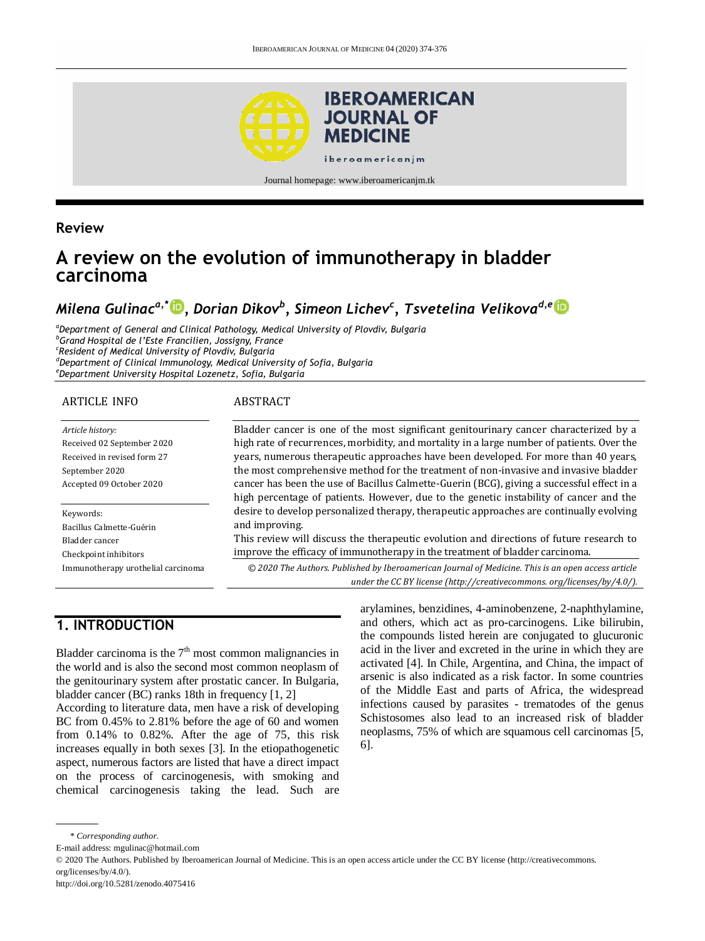

Journal homepage: www.iberoamericanjm.tk

## **Review**

# **A review on the evolution of immunotherapy in bladder carcinoma**

# *Milena Gulinaca,\* [,](https://orcid.org/0000-0001-7970-9378) Dorian Dikov<sup>b</sup> , Simeon Lichev<sup>c</sup> , Tsvetelina Velikovad,e*

*<sup>a</sup>Department of General and Clinical Pathology, Medical University of Plovdiv, Bulgaria <sup>b</sup>Grand Hospital de l'Este Francilien, Jossigny, France c Resident of Medical University of Plovdiv, Bulgaria <sup>d</sup>Department of Clinical Immunology, Medical University of Sofia, Bulgaria <sup>e</sup>Department University Hospital Lozenetz, Sofia, Bulgaria*

#### ARTICLE INFO

#### ABSTRACT

*Article history:* Received 02 September 2020 Received in revised form 27 September 2020 Accepted 09 October 2020

Keywords: Bacillus Calmette-Guérin Bladder cancer Checkpoint inhibitors Immunotherapy urothelial carcinoma Bladder cancer is one of the most significant genitourinary cancer characterized by a high rate of recurrences, morbidity, and mortality in a large number of patients. Over the years, numerous therapeutic approaches have been developed. For more than 40 years, the most comprehensive method for the treatment of non-invasive and invasive bladder cancer has been the use of Bacillus Calmette-Guerin (BCG), giving a successful effect in a high percentage of patients. However, due to the genetic instability of cancer and the desire to develop personalized therapy, therapeutic approaches are continually evolving and improving.

This review will discuss the therapeutic evolution and directions of future research to improve the efficacy of immunotherapy in the treatment of bladder carcinoma.

*© 2020 The Authors. Published by Iberoamerican Journal of Medicine. This is an open access article under the CC BY license (http:/[/creativecommons. org/licenses/by/4.0/\)](https://creativecommons.org/licenses/by/4.0/).*

# **1. INTRODUCTION**

Bladder carcinoma is the  $7<sup>th</sup>$  most common malignancies in the world and is also the second most common neoplasm of the genitourinary system after prostatic cancer. In Bulgaria, bladder cancer (BC) ranks 18th in frequency [1, 2]

According to literature data, men have a risk of developing BC from 0.45% to 2.81% before the age of 60 and women from 0.14% to 0.82%. After the age of 75, this risk increases equally in both sexes [3]. In the etiopathogenetic aspect, numerous factors are listed that have a direct impact on the process of carcinogenesis, with smoking and chemical carcinogenesis taking the lead. Such are arylamines, benzidines, 4-aminobenzene, 2-naphthylamine, and others, which act as pro-carcinogens. Like bilirubin, the compounds listed herein are conjugated to glucuronic acid in the liver and excreted in the urine in which they are activated [4]. In Chile, Argentina, and China, the impact of arsenic is also indicated as a risk factor. In some countries of the Middle East and parts of Africa, the widespread infections caused by parasites - trematodes of the genus Schistosomes also lead to an increased risk of bladder neoplasms, 75% of which are squamous cell carcinomas [5, 6].

<sup>\*</sup> *Corresponding author.*

E-mail address: mgulinac@hotmail.com

<sup>© 2020</sup> The Authors. Published by Iberoamerican Journal of Medicine. This is an open access article under the CC BY license (http://creativecommons. org/licenses/by/4.0/).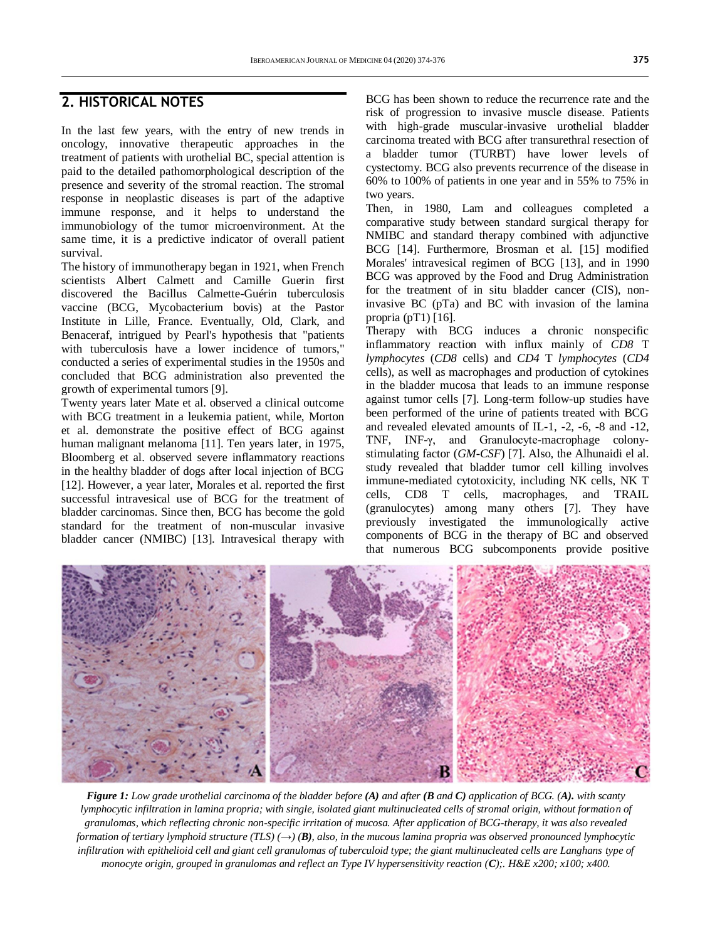## **2. HISTORICAL NOTES**

In the last few years, with the entry of new trends in oncology, innovative therapeutic approaches in the treatment of patients with urothelial BC, special attention is paid to the detailed pathomorphological description of the presence and severity of the stromal reaction. The stromal response in neoplastic diseases is part of the adaptive immune response, and it helps to understand the immunobiology of the tumor microenvironment. At the same time, it is a predictive indicator of overall patient survival.

The history of immunotherapy began in 1921, when French scientists Albert Calmett and Camille Guerin first discovered the Bacillus Calmette-Guérin tuberculosis vaccine (BCG, Mycobacterium bovis) at the Pastor Institute in Lille, France. Eventually, Old, Clark, and Benaceraf, intrigued by Pearl's hypothesis that "patients with tuberculosis have a lower incidence of tumors," conducted a series of experimental studies in the 1950s and concluded that BCG administration also prevented the growth of experimental tumors [9].

Twenty years later Mate et al. observed a clinical outcome with BCG treatment in a leukemia patient, while, Morton et al. demonstrate the positive effect of BCG against human malignant melanoma [11]. Ten years later, in 1975, Bloomberg et al. observed severe inflammatory reactions in the healthy bladder of dogs after local injection of BCG [12]. However, a year later, Morales et al. reported the first successful intravesical use of BCG for the treatment of bladder carcinomas. Since then, BCG has become the gold standard for the treatment of non-muscular invasive bladder cancer (NMIBC) [13]. Intravesical therapy with

BCG has been shown to reduce the recurrence rate and the risk of progression to invasive muscle disease. Patients with high-grade muscular-invasive urothelial bladder carcinoma treated with BCG after transurethral resection of a bladder tumor (TURBT) have lower levels of cystectomy. BCG also prevents recurrence of the disease in 60% to 100% of patients in one year and in 55% to 75% in two years.

Then, in 1980, Lam and colleagues completed a comparative study between standard surgical therapy for NMIBC and standard therapy combined with adjunctive BCG [14]. Furthermore, Brosman et al. [15] modified Morales' intravesical regimen of BCG [13], and in 1990 BCG was approved by the Food and Drug Administration for the treatment of in situ bladder cancer (CIS), noninvasive BC (pTa) and BC with invasion of the lamina propria  $(pT1)$  [16].

Therapy with BCG induces a chronic nonspecific inflammatory reaction with influx mainly of *CD8* T *lymphocytes* (*CD8* cells) and *CD4* T *lymphocytes* (*CD4* cells), as well as macrophages and production of cytokines in the bladder mucosa that leads to an immune response against tumor cells [7]. Long-term follow-up studies have been performed of the urine of patients treated with BCG and revealed elevated amounts of IL-1, -2, -6, -8 and -12, TNF, INF-γ, and Granulocyte-macrophage colonystimulating factor (*GM*-*CSF*) [7]. Also, the Alhunaidi el al. study revealed that bladder tumor cell killing involves immune-mediated cytotoxicity, including NK cells, NK T cells, CD8 T cells, macrophages, and TRAIL (granulocytes) among many others [7]. They have previously investigated the immunologically active components of BCG in the therapy of BC and observed that numerous BCG subcomponents provide positive



*Figure 1: Low grade urothelial carcinoma of the bladder before (A) and after (B and C) application of BCG. (A). with scanty lymphocytic infiltration in lamina propria; with single, isolated giant multinucleated cells of stromal origin, without formation of granulomas, which reflecting chronic non-specific irritation of mucosa. After application of BCG-therapy, it was also revealed formation of tertiary lymphoid structure (TLS)*  $(\rightarrow)$  *(B), also, in the mucous lamina propria was observed pronounced lymphocytic infiltration with epithelioid cell and giant cell granulomas of tuberculoid type; the giant multinucleated cells are Langhans type of monocyte origin, grouped in granulomas and reflect an Type IV hypersensitivity reaction (C);. H&E x200; x100; x400.*